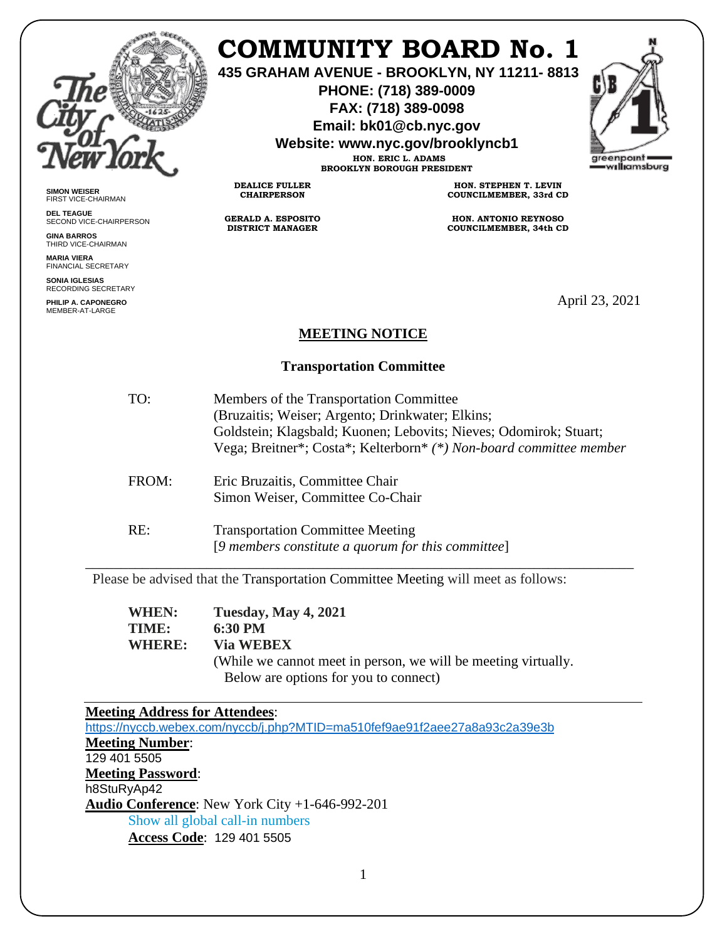

**SIMON WEISER** FIRST VICE-CHAIRMAN **DEL TEAGUE**

**GINA BARROS** THIRD VICE-CHAIRMAN **MARIA VIERA** FINANCIAL SECRETARY **SONIA IGLESIAS** RECORDING SECRETARY **PHILIP A. CAPONEGRO** MEMBER-AT-LARGE

SECOND VICE-CHAIRPERSON

# **COMMUNITY BOARD No. 1**

**435 GRAHAM AVENUE - BROOKLYN, NY 11211- 8813**

**PHONE: (718) 389-0009 FAX: (718) 389-0098**

**Email: bk01@cb.nyc.gov**

**Website: www.nyc.gov/brooklyncb1**

**HON. ERIC L. ADAMS BROOKLYN BOROUGH PRESIDENT**

**DEALICE FULLER CHAIRPERSON**

**GERALD A. ESPOSITO DISTRICT MANAGER**

**HON. STEPHEN T. LEVIN COUNCILMEMBER, 33rd CD**

**HON. ANTONIO REYNOSO COUNCILMEMBER, 34th CD**

April 23, 2021

### **MEETING NOTICE**

### **Transportation Committee**

| TO:   | Members of the Transportation Committee<br>(Bruzaitis; Weiser; Argento; Drinkwater; Elkins;<br>Goldstein; Klagsbald; Kuonen; Lebovits; Nieves; Odomirok; Stuart;<br>Vega; Breitner*; Costa*; Kelterborn* (*) Non-board committee member |
|-------|-----------------------------------------------------------------------------------------------------------------------------------------------------------------------------------------------------------------------------------------|
| FROM: | Eric Bruzaitis, Committee Chair<br>Simon Weiser, Committee Co-Chair                                                                                                                                                                     |
| RE:   | <b>Transportation Committee Meeting</b><br>[9 members constitute a quorum for this committee]                                                                                                                                           |

Please be advised that the Transportation Committee Meeting will meet as follows:

| <b>Tuesday, May 4, 2021</b>                                                                             |
|---------------------------------------------------------------------------------------------------------|
| 6:30 PM                                                                                                 |
| <b>Via WEBEX</b>                                                                                        |
| (While we cannot meet in person, we will be meeting virtually.<br>Below are options for you to connect) |
|                                                                                                         |

## **Meeting Address for Attendees**:

<https://nyccb.webex.com/nyccb/j.php?MTID=ma510fef9ae91f2aee27a8a93c2a39e3b> **Meeting Number**: 129 401 5505 **Meeting Password**: h8StuRyAp42 **Audio Conference**: New York City +1-646-992-201 Show all global call-in numbers **Access Code**: 129 401 5505